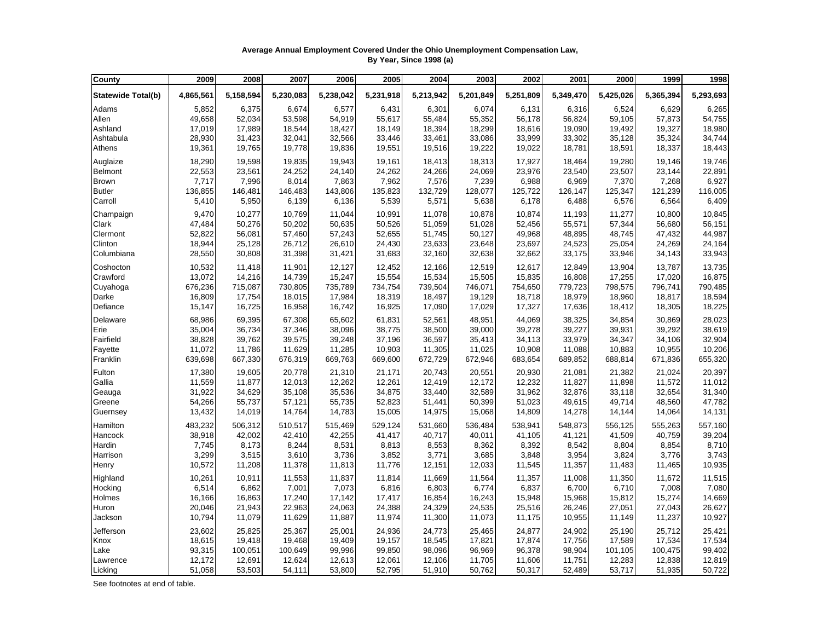## **Average Annual Employment Covered Under the Ohio Unemployment Compensation Law, By Year, Since 1998 (a)**

| County                    | 2009      | 2008      | 2007      | 2006      | 2005      | 2004      | 2003      | 2002      | 2001      | 2000      | 1999      | 1998      |
|---------------------------|-----------|-----------|-----------|-----------|-----------|-----------|-----------|-----------|-----------|-----------|-----------|-----------|
| <b>Statewide Total(b)</b> | 4,865,561 | 5,158,594 | 5,230,083 | 5,238,042 | 5,231,918 | 5,213,942 | 5,201,849 | 5,251,809 | 5,349,470 | 5,425,026 | 5,365,394 | 5,293,693 |
| Adams                     | 5,852     | 6,375     | 6,674     | 6,577     | 6,431     | 6,301     | 6,074     | 6,131     | 6,316     | 6,524     | 6,629     | 6,265     |
| Allen                     | 49,658    | 52,034    | 53,598    | 54,919    | 55,617    | 55,484    | 55,352    | 56,178    | 56,824    | 59,105    | 57,873    | 54,755    |
| Ashland                   | 17,019    | 17,989    | 18,544    | 18,427    | 18,149    | 18,394    | 18,299    | 18,616    | 19,090    | 19,492    | 19,327    | 18,980    |
| Ashtabula                 | 28,930    | 31,423    | 32,041    | 32,566    | 33,446    | 33,461    | 33,086    | 33,999    | 33,302    | 35,128    | 35,324    | 34,744    |
| Athens                    | 19,361    | 19,765    | 19,778    | 19,836    | 19,551    | 19,516    | 19,222    | 19,022    | 18,781    | 18,591    | 18,337    | 18,443    |
| Auglaize                  | 18,290    | 19,598    | 19,835    | 19,943    | 19,161    | 18,413    | 18,313    | 17,927    | 18,464    | 19,280    | 19,146    | 19,746    |
| <b>Belmont</b>            | 22,553    | 23,561    | 24,252    | 24,140    | 24,262    | 24,266    | 24,069    | 23,976    | 23,540    | 23,507    | 23,144    | 22,891    |
| <b>Brown</b>              | 7,717     | 7,996     | 8,014     | 7,863     | 7,962     | 7,576     | 7,239     | 6,988     | 6,969     | 7,370     | 7,268     | 6,927     |
| <b>Butler</b>             | 136,855   | 146,481   | 146,483   | 143,806   | 135,823   | 132,729   | 128,077   | 125,722   | 126,147   | 125,347   | 121,239   | 116,005   |
| Carroll                   | 5,410     | 5,950     | 6,139     | 6,136     | 5,539     | 5,571     | 5,638     | 6,178     | 6,488     | 6,576     | 6,564     | 6,409     |
| Champaign                 | 9,470     | 10,277    | 10,769    | 11,044    | 10,991    | 11,078    | 10,878    | 10,874    | 11,193    | 11,277    | 10,800    | 10,845    |
| Clark                     | 47,484    | 50,276    | 50,202    | 50,635    | 50,526    | 51,059    | 51,028    | 52,456    | 55,571    | 57,344    | 56,680    | 56,151    |
| Clermont                  | 52,822    | 56,081    | 57,460    | 57,243    | 52,655    | 51,745    | 50,127    | 49,968    | 48,895    | 48,745    | 47,432    | 44,987    |
| Clinton                   | 18,944    | 25,128    | 26,712    | 26,610    | 24,430    | 23,633    | 23,648    | 23,697    | 24,523    | 25,054    | 24,269    | 24,164    |
| Columbiana                | 28,550    | 30,808    | 31,398    | 31,421    | 31,683    | 32,160    | 32,638    | 32,662    | 33,175    | 33,946    | 34,143    | 33,943    |
| Coshocton                 | 10,532    | 11,418    | 11,901    | 12,127    | 12,452    | 12,166    | 12,519    | 12,617    | 12,849    | 13,904    | 13,787    | 13,735    |
| Crawford                  | 13,072    | 14,216    | 14,739    | 15,247    | 15,554    | 15,534    | 15,505    | 15,835    | 16,808    | 17,255    | 17,020    | 16,875    |
| Cuyahoga                  | 676,236   | 715,087   | 730,805   | 735,789   | 734,754   | 739,504   | 746,071   | 754,650   | 779,723   | 798,575   | 796,741   | 790,485   |
| Darke                     | 16,809    | 17,754    | 18,015    | 17,984    | 18,319    | 18,497    | 19,129    | 18,718    | 18,979    | 18,960    | 18,817    | 18,594    |
| Defiance                  | 15,147    | 16,725    | 16,958    | 16,742    | 16,925    | 17,090    | 17,029    | 17,327    | 17,636    | 18,412    | 18,305    | 18,225    |
| Delaware                  | 68,986    | 69,395    | 67,308    | 65,602    | 61,831    | 52,561    | 48,951    | 44,069    | 38,325    | 34,854    | 30,869    | 28,023    |
| Erie                      | 35,004    | 36,734    | 37,346    | 38,096    | 38,775    | 38,500    | 39,000    | 39,278    | 39,227    | 39,931    | 39,292    | 38,619    |
| Fairfield                 | 38,828    | 39,762    | 39,575    | 39,248    | 37,196    | 36,597    | 35,413    | 34,113    | 33,979    | 34,347    | 34,106    | 32,904    |
| Fayette                   | 11,072    | 11,786    | 11,629    | 11,285    | 10,903    | 11,305    | 11,025    | 10,908    | 11,088    | 10,883    | 10,955    | 10,206    |
| Franklin                  | 639,698   | 667,330   | 676,319   | 669,763   | 669,600   | 672,729   | 672,946   | 683,654   | 689,852   | 688,814   | 671,836   | 655,320   |
| Fulton                    | 17,380    | 19,605    | 20,778    | 21,310    | 21,171    | 20,743    | 20,551    | 20,930    | 21,081    | 21,382    | 21,024    | 20,397    |
| Gallia                    | 11,559    | 11,877    | 12,013    | 12,262    | 12,261    | 12,419    | 12,172    | 12,232    | 11,827    | 11,898    | 11,572    | 11,012    |
| Geauga                    | 31,922    | 34,629    | 35,108    | 35,536    | 34,875    | 33,440    | 32,589    | 31,962    | 32,876    | 33,118    | 32,654    | 31,340    |
| Greene                    | 54,266    | 55,737    | 57,121    | 55,735    | 52,823    | 51,441    | 50,399    | 51,023    | 49,615    | 49,714    | 48,560    | 47,782    |
| Guernsey                  | 13,432    | 14,019    | 14,764    | 14,783    | 15,005    | 14,975    | 15,068    | 14,809    | 14,278    | 14,144    | 14,064    | 14,131    |
| Hamilton                  | 483,232   | 506,312   | 510,517   | 515,469   | 529,124   | 531,660   | 536,484   | 538,941   | 548,873   | 556,125   | 555,263   | 557,160   |
| Hancock                   | 38,918    | 42,002    | 42,410    | 42,255    | 41,417    | 40,717    | 40,011    | 41,105    | 41,121    | 41,509    | 40,759    | 39,204    |
| Hardin                    | 7,745     | 8,173     | 8,244     | 8,531     | 8,813     | 8,553     | 8,362     | 8,392     | 8,542     | 8,804     | 8,854     | 8,710     |
| Harrison                  | 3,299     | 3,515     | 3,610     | 3,736     | 3,852     | 3,771     | 3,685     | 3,848     | 3,954     | 3,824     | 3,776     | 3,743     |
| Henry                     | 10,572    | 11,208    | 11,378    | 11,813    | 11,776    | 12,151    | 12,033    | 11,545    | 11,357    | 11,483    | 11,465    | 10,935    |
| Highland                  | 10,261    | 10,911    | 11,553    | 11,837    | 11,814    | 11,669    | 11,564    | 11,357    | 11,008    | 11,350    | 11,672    | 11,515    |
| Hocking                   | 6,514     | 6,862     | 7,001     | 7,073     | 6,816     | 6,803     | 6,774     | 6,837     | 6,700     | 6,710     | 7,008     | 7,080     |
| Holmes                    | 16,166    | 16,863    | 17,240    | 17,142    | 17,417    | 16,854    | 16,243    | 15,948    | 15,968    | 15,812    | 15,274    | 14,669    |
| Huron                     | 20,046    | 21,943    | 22,963    | 24,063    | 24,388    | 24,329    | 24,535    | 25,516    | 26,246    | 27,051    | 27,043    | 26,627    |
| Jackson                   | 10,794    | 11,079    | 11,629    | 11,887    | 11,974    | 11,300    | 11,073    | 11,175    | 10,955    | 11,149    | 11,237    | 10,927    |
| Jefferson                 | 23,602    | 25,825    | 25,367    | 25,001    | 24,936    | 24,773    | 25,465    | 24,877    | 24,902    | 25,190    | 25,712    | 25,421    |
| Knox                      | 18,615    | 19,418    | 19,468    | 19,409    | 19,157    | 18,545    | 17,821    | 17,874    | 17,756    | 17,589    | 17,534    | 17,534    |
| Lake                      | 93,315    | 100,051   | 100,649   | 99,996    | 99,850    | 98,096    | 96,969    | 96,378    | 98,904    | 101,105   | 100,475   | 99,402    |
| Lawrence                  | 12,172    | 12,691    | 12,624    | 12,613    | 12,061    | 12,106    | 11,705    | 11,606    | 11,751    | 12,283    | 12,838    | 12,819    |
| Licking                   | 51,058    | 53,503    | 54,111    | 53,800    | 52,795    | 51,910    | 50,762    | 50,317    | 52,489    | 53,717    | 51,935    | 50,722    |

See footnotes at end of table.